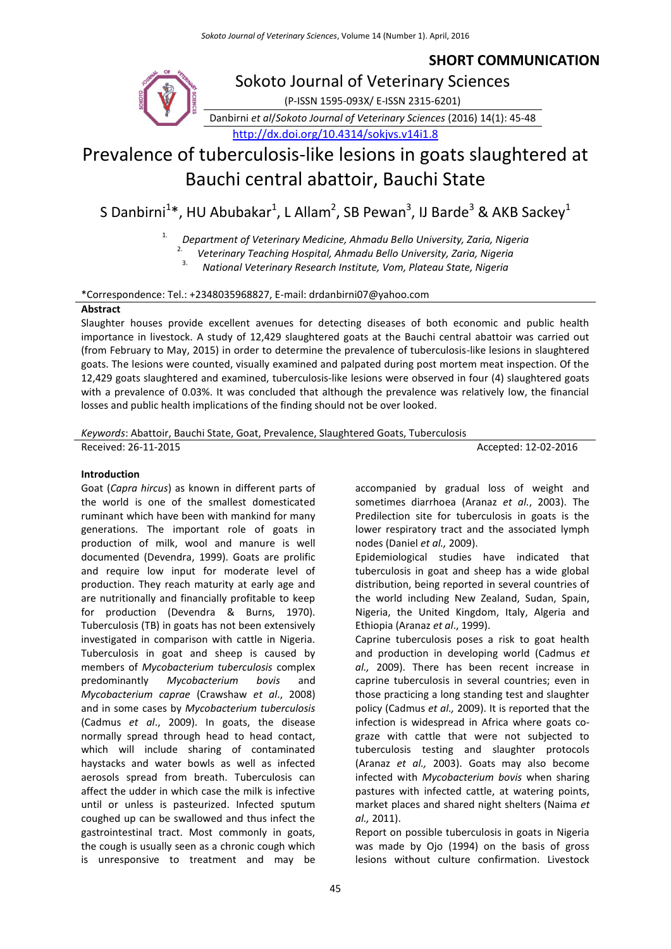# **SHORT COMMUNICATION**



Danbirni *et al*/*Sokoto Journal of Veterinary Sciences* (2016) 14(1): 45-48 <http://dx.doi.org/10.4314/sokjvs.v14i1.8>

# Prevalence of tuberculosis-like lesions in goats slaughtered at Bauchi central abattoir, Bauchi State

S Danbirni $^{1*}$ , HU Abubakar $^{1}$ , L Allam $^{2}$ , SB Pewan $^{3}$ , IJ Barde $^{3}$  & AKB Sackey $^{1}$ 

1. *Department of Veterinary Medicine, Ahmadu Bello University, Zaria, Nigeria*

2. *Veterinary Teaching Hospital, Ahmadu Bello University, Zaria, Nigeria*

3. *National Veterinary Research Institute, Vom, Plateau State, Nigeria*

\*Correspondence: Tel.: +2348035968827, E-mail: drdanbirni07@yahoo.com

## **Abstract**

Slaughter houses provide excellent avenues for detecting diseases of both economic and public health importance in livestock. A study of 12,429 slaughtered goats at the Bauchi central abattoir was carried out (from February to May, 2015) in order to determine the prevalence of tuberculosis-like lesions in slaughtered goats. The lesions were counted, visually examined and palpated during post mortem meat inspection. Of the 12,429 goats slaughtered and examined, tuberculosis-like lesions were observed in four (4) slaughtered goats with a prevalence of 0.03%. It was concluded that although the prevalence was relatively low, the financial losses and public health implications of the finding should not be over looked.

*Keywords*: Abattoir, Bauchi State, Goat, Prevalence, Slaughtered Goats, Tuberculosis

Received: 26-11-2015 **Accepted: 26-11-2015** Accepted: 12-02-2016

# **Introduction**

Goat (*Capra hircus*) as known in different parts of the world is one of the smallest domesticated ruminant which have been with mankind for many generations. The important role of goats in production of milk, wool and manure is well documented (Devendra, 1999). Goats are prolific and require low input for moderate level of production. They reach maturity at early age and are nutritionally and financially profitable to keep for production (Devendra & Burns, 1970). Tuberculosis (TB) in goats has not been extensively investigated in comparison with cattle in Nigeria. Tuberculosis in goat and sheep is caused by members of *Mycobacterium tuberculosis* complex predominantly *Mycobacterium bovis* and *Mycobacterium caprae* (Crawshaw *et al*., 2008) and in some cases by *Mycobacterium tuberculosis* (Cadmus *et al*., 2009). In goats, the disease normally spread through head to head contact, which will include sharing of contaminated haystacks and water bowls as well as infected aerosols spread from breath. Tuberculosis can affect the udder in which case the milk is infective until or unless is pasteurized. Infected sputum coughed up can be swallowed and thus infect the gastrointestinal tract. Most commonly in goats, the cough is usually seen as a chronic cough which is unresponsive to treatment and may be

accompanied by gradual loss of weight and sometimes diarrhoea (Aranaz *et al.*, 2003). The Predilection site for tuberculosis in goats is the lower respiratory tract and the associated lymph nodes (Daniel *et al.,* 2009).

Epidemiological studies have indicated that tuberculosis in goat and sheep has a wide global distribution, being reported in several countries of the world including New Zealand, Sudan, Spain, Nigeria, the United Kingdom, Italy, Algeria and Ethiopia (Aranaz *et al*., 1999).

Caprine tuberculosis poses a risk to goat health and production in developing world (Cadmus *et al.,* 2009). There has been recent increase in caprine tuberculosis in several countries; even in those practicing a long standing test and slaughter policy (Cadmus *et al.,* 2009). It is reported that the infection is widespread in Africa where goats cograze with cattle that were not subjected to tuberculosis testing and slaughter protocols (Aranaz *et al.,* 2003). Goats may also become infected with *Mycobacterium bovis* when sharing pastures with infected cattle, at watering points, market places and shared night shelters (Naima *et al.,* 2011).

Report on possible tuberculosis in goats in Nigeria was made by Ojo (1994) on the basis of gross lesions without culture confirmation. Livestock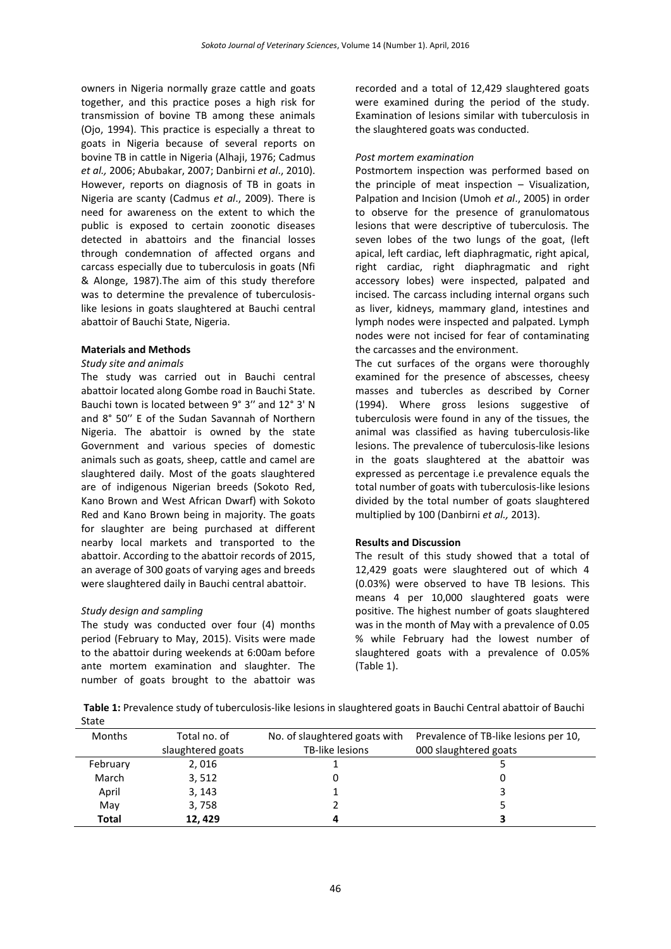owners in Nigeria normally graze cattle and goats together, and this practice poses a high risk for transmission of bovine TB among these animals (Ojo, 1994). This practice is especially a threat to goats in Nigeria because of several reports on bovine TB in cattle in Nigeria (Alhaji, 1976; Cadmus *et al.,* 2006; Abubakar, 2007; Danbirni *et al*., 2010). However, reports on diagnosis of TB in goats in Nigeria are scanty (Cadmus *et al*., 2009). There is need for awareness on the extent to which the public is exposed to certain zoonotic diseases detected in abattoirs and the financial losses through condemnation of affected organs and carcass especially due to tuberculosis in goats (Nfi & Alonge, 1987).The aim of this study therefore was to determine the prevalence of tuberculosislike lesions in goats slaughtered at Bauchi central abattoir of Bauchi State, Nigeria.

#### **Materials and Methods**

#### *Study site and animals*

The study was carried out in Bauchi central abattoir located along Gombe road in Bauchi State. Bauchi town is located between 9° 3ʹʹ and 12° 3' N and 8° 50ʹʹ E of the Sudan Savannah of Northern Nigeria. The abattoir is owned by the state Government and various species of domestic animals such as goats, sheep, cattle and camel are slaughtered daily. Most of the goats slaughtered are of indigenous Nigerian breeds (Sokoto Red, Kano Brown and West African Dwarf) with Sokoto Red and Kano Brown being in majority. The goats for slaughter are being purchased at different nearby local markets and transported to the abattoir. According to the abattoir records of 2015, an average of 300 goats of varying ages and breeds were slaughtered daily in Bauchi central abattoir.

#### *Study design and sampling*

The study was conducted over four (4) months period (February to May, 2015). Visits were made to the abattoir during weekends at 6:00am before ante mortem examination and slaughter. The number of goats brought to the abattoir was recorded and a total of 12,429 slaughtered goats were examined during the period of the study. Examination of lesions similar with tuberculosis in the slaughtered goats was conducted.

#### *Post mortem examination*

Postmortem inspection was performed based on the principle of meat inspection – Visualization, Palpation and Incision (Umoh *et al*., 2005) in order to observe for the presence of granulomatous lesions that were descriptive of tuberculosis. The seven lobes of the two lungs of the goat, (left apical, left cardiac, left diaphragmatic, right apical, right cardiac, right diaphragmatic and right accessory lobes) were inspected, palpated and incised. The carcass including internal organs such as liver, kidneys, mammary gland, intestines and lymph nodes were inspected and palpated. Lymph nodes were not incised for fear of contaminating the carcasses and the environment.

The cut surfaces of the organs were thoroughly examined for the presence of abscesses, cheesy masses and tubercles as described by Corner (1994). Where gross lesions suggestive of tuberculosis were found in any of the tissues, the animal was classified as having tuberculosis-like lesions. The prevalence of tuberculosis-like lesions in the goats slaughtered at the abattoir was expressed as percentage i.e prevalence equals the total number of goats with tuberculosis-like lesions divided by the total number of goats slaughtered multiplied by 100 (Danbirni *et al.,* 2013).

#### **Results and Discussion**

The result of this study showed that a total of 12,429 goats were slaughtered out of which 4 (0.03%) were observed to have TB lesions. This means 4 per 10,000 slaughtered goats were positive. The highest number of goats slaughtered was in the month of May with a prevalence of 0.05 % while February had the lowest number of slaughtered goats with a prevalence of 0.05% (Table 1).

**Table 1:** Prevalence study of tuberculosis-like lesions in slaughtered goats in Bauchi Central abattoir of Bauchi State

| Months       | Total no. of      | No. of slaughtered goats with | Prevalence of TB-like lesions per 10, |
|--------------|-------------------|-------------------------------|---------------------------------------|
|              | slaughtered goats | TB-like lesions               | 000 slaughtered goats                 |
| February     | 2,016             |                               |                                       |
| March        | 3,512             |                               |                                       |
| April        | 3, 143            |                               |                                       |
| May          | 3,758             |                               |                                       |
| <b>Total</b> | 12.429            |                               |                                       |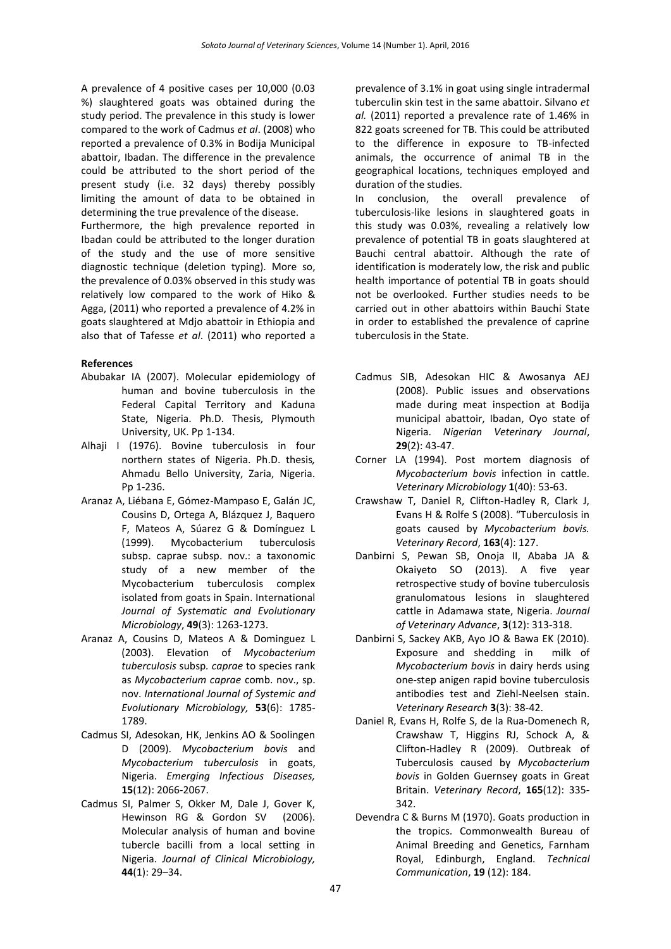A prevalence of 4 positive cases per 10,000 (0.03 %) slaughtered goats was obtained during the study period. The prevalence in this study is lower compared to the work of Cadmus *et al*. (2008) who reported a prevalence of 0.3% in Bodija Municipal abattoir, Ibadan. The difference in the prevalence could be attributed to the short period of the present study (i.e. 32 days) thereby possibly limiting the amount of data to be obtained in determining the true prevalence of the disease.

Furthermore, the high prevalence reported in Ibadan could be attributed to the longer duration of the study and the use of more sensitive diagnostic technique (deletion typing). More so, the prevalence of 0.03% observed in this study was relatively low compared to the work of Hiko & Agga, (2011) who reported a prevalence of 4.2% in goats slaughtered at Mdjo abattoir in Ethiopia and also that of Tafesse *et al*. (2011) who reported a

## **References**

- Abubakar IA (2007). Molecular epidemiology of human and bovine tuberculosis in the Federal Capital Territory and Kaduna State, Nigeria. Ph.D. Thesis, Plymouth University, UK. Pp 1-134.
- Alhaji I (1976). Bovine tuberculosis in four northern states of Nigeria. Ph.D. thesis*,* Ahmadu Bello University, Zaria, Nigeria. Pp 1-236.
- Aranaz A, Liébana E, Gómez-Mampaso E, Galán JC, Cousins D, Ortega A, Blázquez J, Baquero F, Mateos A, Súarez G & Domínguez L (1999). Mycobacterium tuberculosis subsp. caprae subsp. nov.: a taxonomic study of a new member of the Mycobacterium tuberculosis complex isolated from goats in Spain. International *Journal of Systematic and Evolutionary Microbiology*, **49**(3): 1263-1273.
- Aranaz A, Cousins D, Mateos A & Dominguez L (2003). Elevation of *Mycobacterium tuberculosis* subsp*. caprae* to species rank as *Mycobacterium caprae* comb. nov., sp. nov. *International Journal of Systemic and Evolutionary Microbiology,* **53**(6): 1785- 1789.
- Cadmus SI, Adesokan, HK, Jenkins AO & Soolingen D (2009). *Mycobacterium bovis* and *Mycobacterium tuberculosis* in goats, Nigeria. *Emerging Infectious Diseases,* **15**(12): 2066-2067.
- Cadmus SI, Palmer S, Okker M, Dale J, Gover K, Hewinson RG & Gordon SV (2006). Molecular analysis of human and bovine tubercle bacilli from a local setting in Nigeria. *Journal of Clinical Microbiology,* **44**(1): 29–34.

prevalence of 3.1% in goat using single intradermal tuberculin skin test in the same abattoir. Silvano *et al.* (2011) reported a prevalence rate of 1.46% in 822 goats screened for TB. This could be attributed to the difference in exposure to TB-infected animals, the occurrence of animal TB in the geographical locations, techniques employed and duration of the studies.

In conclusion, the overall prevalence of tuberculosis-like lesions in slaughtered goats in this study was 0.03%, revealing a relatively low prevalence of potential TB in goats slaughtered at Bauchi central abattoir. Although the rate of identification is moderately low, the risk and public health importance of potential TB in goats should not be overlooked. Further studies needs to be carried out in other abattoirs within Bauchi State in order to established the prevalence of caprine tuberculosis in the State.

- Cadmus SIB, Adesokan HIC & Awosanya AEJ (2008). Public issues and observations made during meat inspection at Bodija municipal abattoir, Ibadan, Oyo state of Nigeria. *Nigerian Veterinary Journal*, **29**(2): 43-47.
- Corner LA (1994). Post mortem diagnosis of *Mycobacterium bovis* infection in cattle. *Veterinary Microbiology* **1**(40): 53-63.
- Crawshaw T, Daniel R, Clifton-Hadley R, Clark J, Evans H & Rolfe S (2008). "Tuberculosis in goats caused by *Mycobacterium bovis. Veterinary Record*, **163**(4): 127.
- Danbirni S, Pewan SB, Onoja II, Ababa JA & Okaiyeto SO (2013). A five year retrospective study of bovine tuberculosis granulomatous lesions in slaughtered cattle in Adamawa state, Nigeria. *Journal of Veterinary Advance*, **3**(12): 313-318.
- Danbirni S, Sackey AKB, Ayo JO & Bawa EK (2010). Exposure and shedding in milk of *Mycobacterium bovis* in dairy herds using one-step anigen rapid bovine tuberculosis antibodies test and Ziehl-Neelsen stain. *Veterinary Research* **3**(3): 38-42.
- Daniel R, Evans H, Rolfe S, de la Rua-Domenech R, Crawshaw T, Higgins RJ, Schock A, & Clifton-Hadley R (2009). Outbreak of Tuberculosis caused by *Mycobacterium bovis* in Golden Guernsey goats in Great Britain. *Veterinary Record*, **165**(12): 335- 342.
- Devendra C & Burns M (1970). Goats production in the tropics. Commonwealth Bureau of Animal Breeding and Genetics, Farnham Royal, Edinburgh, England. *Technical Communication*, **19** (12): 184.